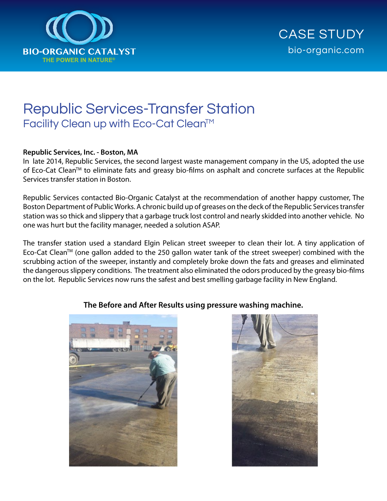

## Republic Services-Transfer Station Facility Clean up with Eco-Cat Clean™

## **Republic Services, Inc. - Boston, MA**

In late 2014, Republic Services, the second largest waste management company in the US, adopted the use of Eco-Cat Clean™ to eliminate fats and greasy bio-films on asphalt and concrete surfaces at the Republic Services transfer station in Boston.

Republic Services contacted Bio-Organic Catalyst at the recommendation of another happy customer, The Boston Department of Public Works. A chronic build up of greases on the deck of the Republic Services transfer station was so thick and slippery that a garbage truck lost control and nearly skidded into another vehicle. No one was hurt but the facility manager, needed a solution ASAP.

The transfer station used a standard Elgin Pelican street sweeper to clean their lot. A tiny application of Eco-Cat Clean<sup>™</sup> (one gallon added to the 250 gallon water tank of the street sweeper) combined with the scrubbing action of the sweeper, instantly and completely broke down the fats and greases and eliminated the dangerous slippery conditions. The treatment also eliminated the odors produced by the greasy bio-films on the lot. Republic Services now runs the safest and best smelling garbage facility in New England.



## **The Before and After Results using pressure washing machine.**